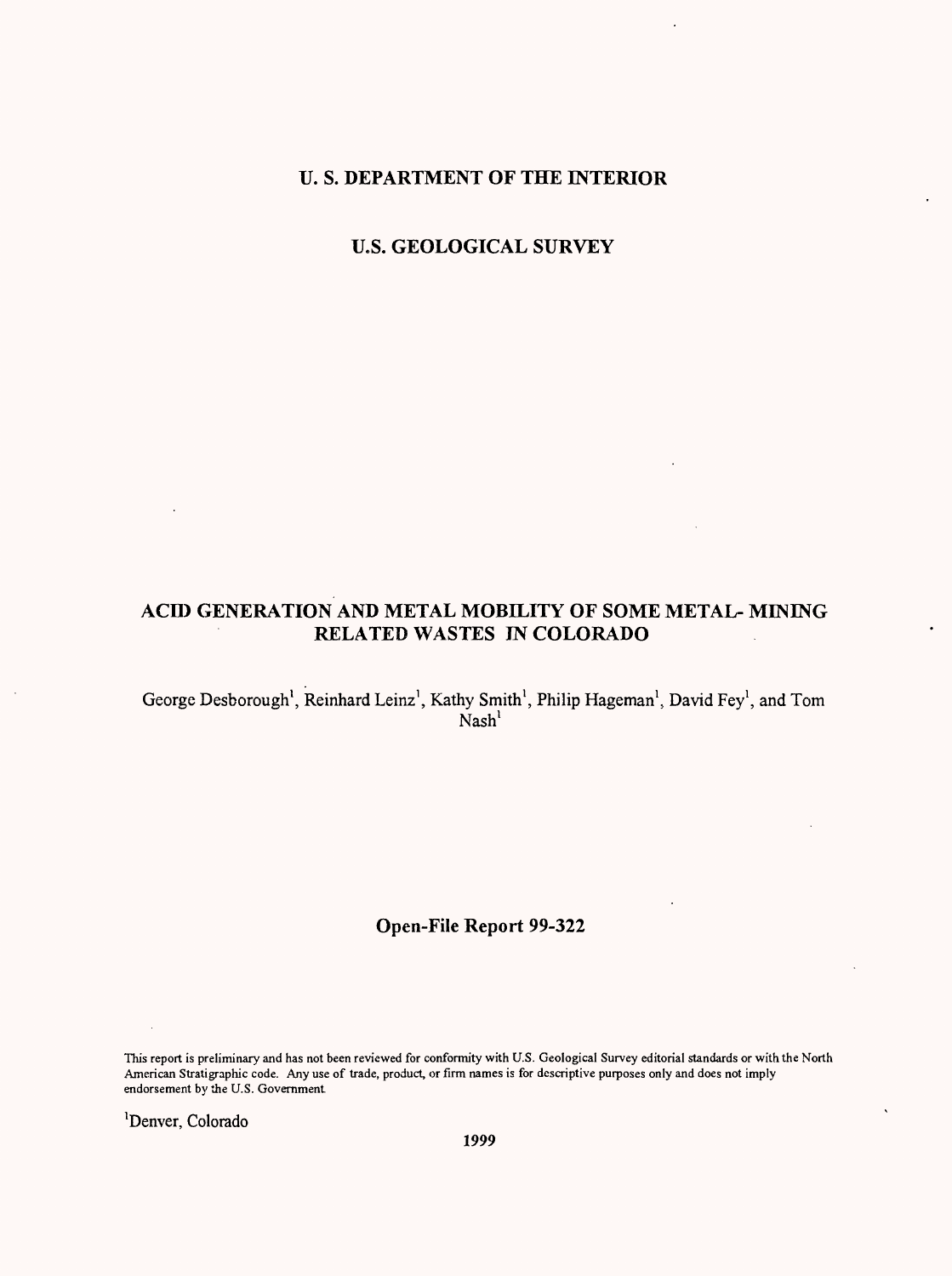### **U. S. DEPARTMENT OF THE INTERIOR**

**U.S. GEOLOGICAL SURVEY**

## **ACID GENERATION AND METAL MOBILITY OF SOME METAL- MINING RELATED WASTES IN COLORADO**

George Desborough<sup>1</sup>, Reinhard Leinz<sup>1</sup>, Kathy Smith<sup>1</sup>, Philip Hageman<sup>1</sup>, David Fey<sup>1</sup>, and Tom  $Nash<sup>1</sup>$ 

## **Open-File Report 99-322**

This report is preliminary and has not been reviewed for conformity with U.S. Geological Survey editorial standards or with the North American Stratigraphic code. Any use of trade, product, or firm names is for descriptive purposes only and does not imply endorsement by the U.S. Government

Denver, Colorado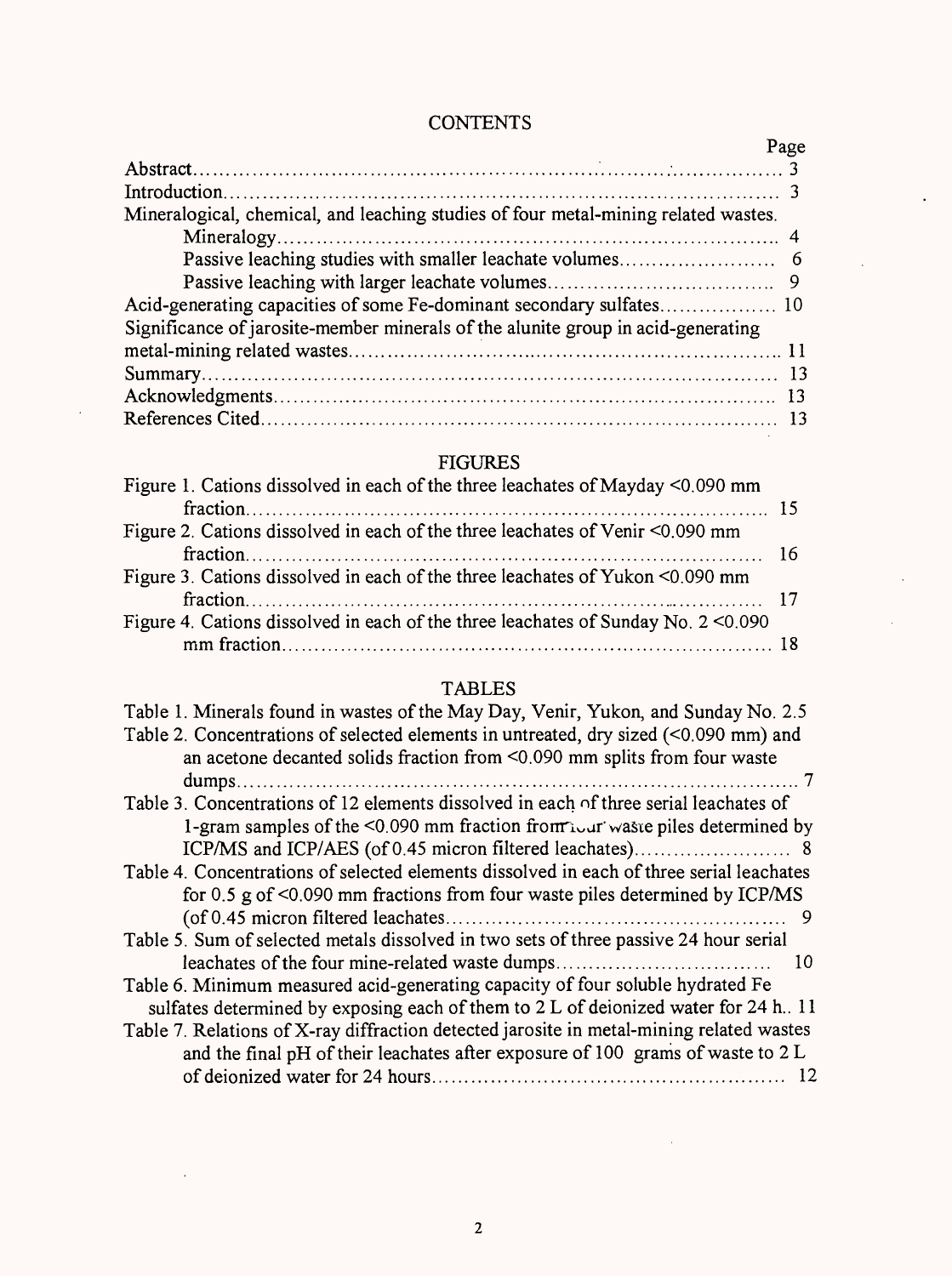# **CONTENTS**

 $\ddot{\phantom{a}}$ 

|                                                                                    | Page |
|------------------------------------------------------------------------------------|------|
|                                                                                    |      |
|                                                                                    |      |
| Mineralogical, chemical, and leaching studies of four metal-mining related wastes. |      |
|                                                                                    |      |
|                                                                                    |      |
|                                                                                    |      |
| Acid-generating capacities of some Fe-dominant secondary sulfates 10               |      |
| Significance of jarosite-member minerals of the alunite group in acid-generating   |      |
|                                                                                    |      |
|                                                                                    |      |
|                                                                                    |      |
|                                                                                    |      |

# FIGURES

| Figure 1. Cations dissolved in each of the three leachates of Mayday <0.090 mm       |  |
|--------------------------------------------------------------------------------------|--|
|                                                                                      |  |
| Figure 2. Cations dissolved in each of the three leachates of Venir <0.090 mm        |  |
|                                                                                      |  |
| Figure 3. Cations dissolved in each of the three leachates of Yukon <0.090 mm        |  |
|                                                                                      |  |
| Figure 4. Cations dissolved in each of the three leachates of Sunday No. $2 < 0.090$ |  |
|                                                                                      |  |

# TABLES

| Table 1. Minerals found in wastes of the May Day, Venir, Yukon, and Sunday No. 2.5            |
|-----------------------------------------------------------------------------------------------|
| Table 2. Concentrations of selected elements in untreated, dry sized (<0.090 mm) and          |
| an acetone decanted solids fraction from <0.090 mm splits from four waste                     |
|                                                                                               |
| Table 3. Concentrations of 12 elements dissolved in each of three serial leachates of         |
| 1-gram samples of the $\leq 0.090$ mm fraction from $\sum_{i=1}^{n}$ was epiles determined by |
|                                                                                               |
| Table 4. Concentrations of selected elements dissolved in each of three serial leachates      |
| for 0.5 g of $\leq$ 0.090 mm fractions from four waste piles determined by ICP/MS             |
|                                                                                               |
| Table 5. Sum of selected metals dissolved in two sets of three passive 24 hour serial         |
| leachates of the four mine-related waste dumps<br>10                                          |
| Table 6. Minimum measured acid-generating capacity of four soluble hydrated Fe                |
| sulfates determined by exposing each of them to 2 L of deionized water for 24 h. 11           |
| Table 7. Relations of X-ray diffraction detected jarosite in metal-mining related wastes      |
| and the final pH of their leachates after exposure of 100 grams of waste to 2 L               |
|                                                                                               |
|                                                                                               |

 $\bar{z}$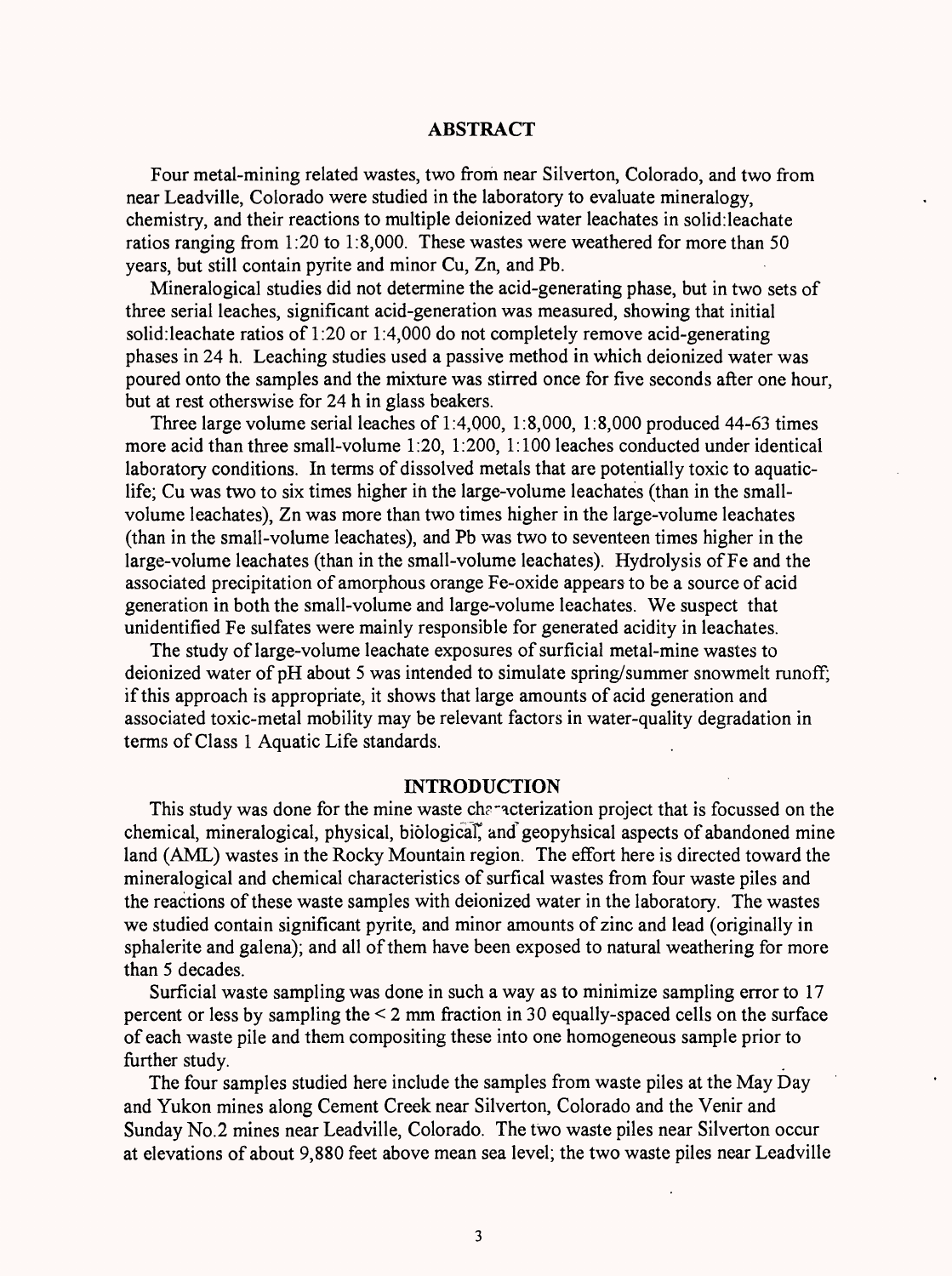#### **ABSTRACT**

Four metal-mining related wastes, two from near Silverton, Colorado, and two from near Leadville, Colorado were studied in the laboratory to evaluate mineralogy, chemistry, and their reactions to multiple deionized water leachates in solid:leachate ratios ranging from 1:20 to 1:8,000. These wastes were weathered for more than 50 years, but still contain pyrite and minor Cu, Zn, and Pb.

Mineralogical studies did not determine the acid-generating phase, but in two sets of three serial leaches, significant acid-generation was measured, showing that initial solid:leachate ratios of 1:20 or 1:4,000 do not completely remove acid-generating phases in 24 h. Leaching studies used a passive method in which deionized water was poured onto the samples and the mixture was stirred once for five seconds after one hour, but at rest otherswise for 24 h in glass beakers.

Three large volume serial leaches of  $1:4,000, 1:8,000, 1:8,000$  produced  $44-63$  times more acid than three small-volume 1:20, 1:200, 1:100 leaches conducted under identical laboratory conditions. In terms of dissolved metals that are potentially toxic to aquaticlife; Cu was two to six times higher in the large-volume leachates (than in the smallvolume leachates), Zn was more than two times higher in the large-volume leachates (than in the small-volume leachates), and Pb was two to seventeen times higher in the large-volume leachates (than in the small-volume leachates). Hydrolysis of Fe and the associated precipitation of amorphous orange Fe-oxide appears to be a source of acid generation in both the small-volume and large-volume leachates. We suspect that unidentified Fe sulfates were mainly responsible for generated acidity in leachates.

The study of large-volume leachate exposures of surficial metal-mine wastes to deionized water of pH about 5 was intended to simulate spring/summer snowmelt runoff; if this approach is appropriate, it shows that large amounts of acid generation and associated toxic-metal mobility may be relevant factors in water-quality degradation in terms of Class 1 Aquatic Life standards.

#### **INTRODUCTION**

This study was done for the mine waste characterization project that is focussed on the chemical, mineralogical, physical, biological^ and geopyhsical aspects of abandoned mine land (AML) wastes in the Rocky Mountain region. The effort here is directed toward the mineralogical and chemical characteristics of surfical wastes from four waste piles and the reactions of these waste samples with deionized water in the laboratory. The wastes we studied contain significant pyrite, and minor amounts of zinc and lead (originally in sphalerite and galena); and all of them have been exposed to natural weathering for more than 5 decades.

Surficial waste sampling was done in such a way as to minimize sampling error to 17 percent or less by sampling the < 2 mm fraction in 30 equally-spaced cells on the surface of each waste pile and them compositing these into one homogeneous sample prior to further study.

The four samples studied here include the samples from waste piles at the May Day and Yukon mines along Cement Creek near Silverton, Colorado and the Venir and Sunday No.2 mines near Leadville, Colorado. The two waste piles near Silverton occur at elevations of about 9,880 feet above mean sea level; the two waste piles near Leadville

3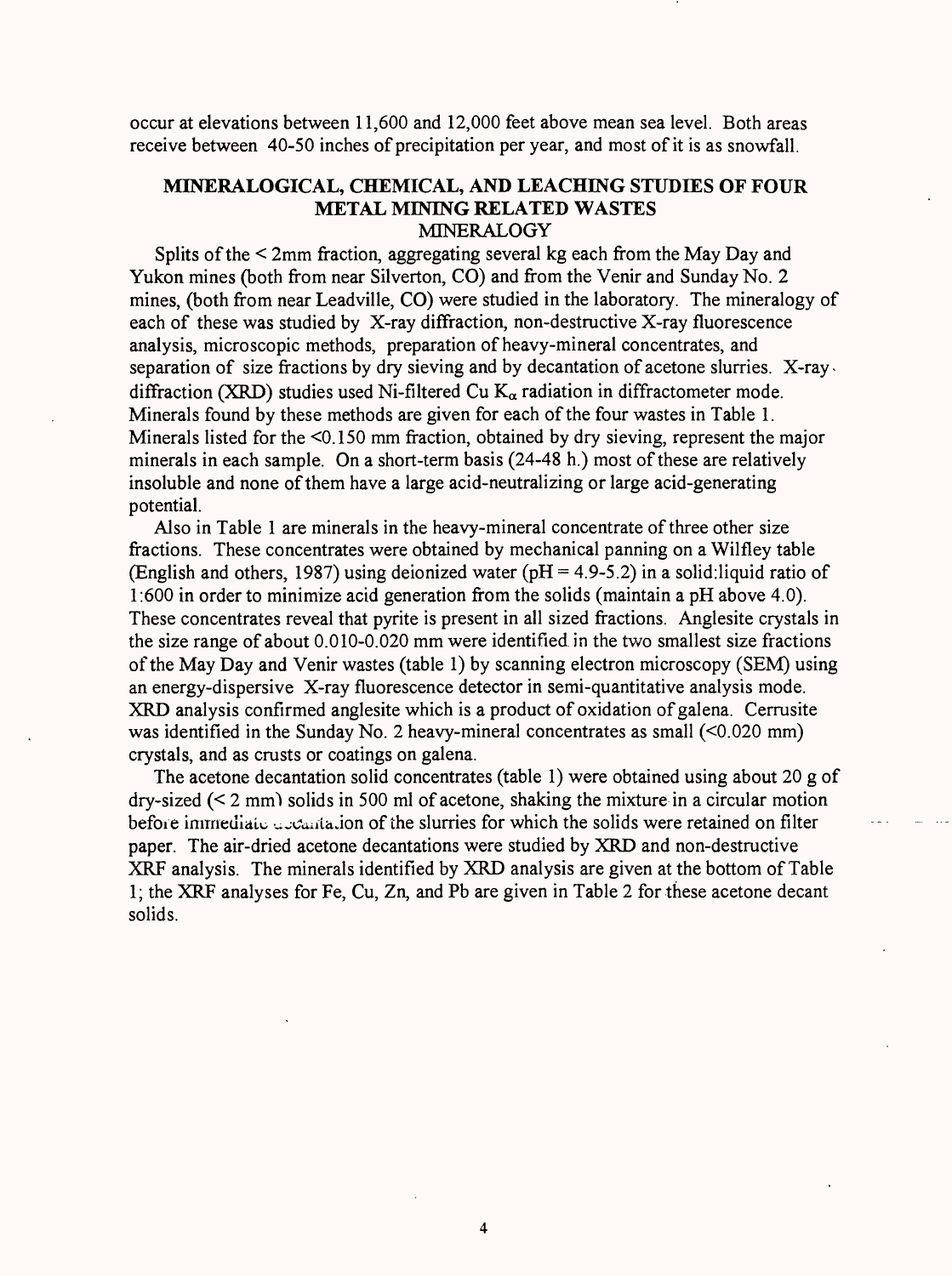occur at elevations between 11,600 and 12,000 feet above mean sea level. Both areas receive between 40-50 inches of precipitation per year, and most of it is as snowfall.

## **MINERALOGICAL, CHEMICAL, AND LEACHING STUDIES OF FOUR METAL MINING RELATED WASTES** MINERALOGY

Splits of the < 2mm fraction, aggregating several kg each from the May Day and Yukon mines (both from near Silverton, CO) and from the Venir and Sunday No. 2 mines, (both from near Leadville, CO) were studied in the laboratory. The mineralogy of each of these was studied by X-ray diffraction, non-destructive X-ray fluorescence analysis, microscopic methods, preparation of heavy-mineral concentrates, and separation of size fractions by dry sieving and by decantation of acetone slurries. X-raydiffraction (XRD) studies used Ni-filtered Cu  $K_{\alpha}$  radiation in diffractometer mode. Minerals found by these methods are given for each of the four wastes in Table 1. Minerals listed for the <0.150 mm fraction, obtained by dry sieving, represent the major minerals in each sample. On a short-term basis (24-48 h.) most of these are relatively insoluble and none of them have a large acid-neutralizing or large acid-generating potential.

Also in Table 1 are minerals in the heavy-mineral concentrate of three other size fractions. These concentrates were obtained by mechanical panning on a Wilfley table (English and others, 1987) using deionized water ( $pH = 4.9-5.2$ ) in a solid:liquid ratio of 1:600 in order to minimize acid generation from the solids (maintain a pH above 4.0). These concentrates reveal that pyrite is present in all sized fractions. Anglesite crystals in the size range of about 0.010-0.020 mm were identified in the two smallest size fractions of the May Day and Venir wastes (table 1) by scanning electron microscopy (SEM) using an energy-dispersive X-ray fluorescence detector in semi-quantitative analysis mode. XRD analysis confirmed anglesite which is a product of oxidation of galena. Cerrusite was identified in the Sunday No. 2 heavy-mineral concentrates as small (<0.020 mm) crystals, and as crusts or coatings on galena.

The acetone decantation solid concentrates (table 1) were obtained using about 20 g of dry-sized  $(2 \text{ mm})$  solids in 500 ml of acetone, shaking the mixture in a circular motion before immediate a cantalion of the slurries for which the solids were retained on filter paper. The air-dried acetone decantations were studied by XRD and non-destructive XRF analysis. The minerals identified by XRD analysis are given at the bottom of Table 1; the XRF analyses for Fe, Cu, Zn, and Pb are given in Table 2 for these acetone decant solids.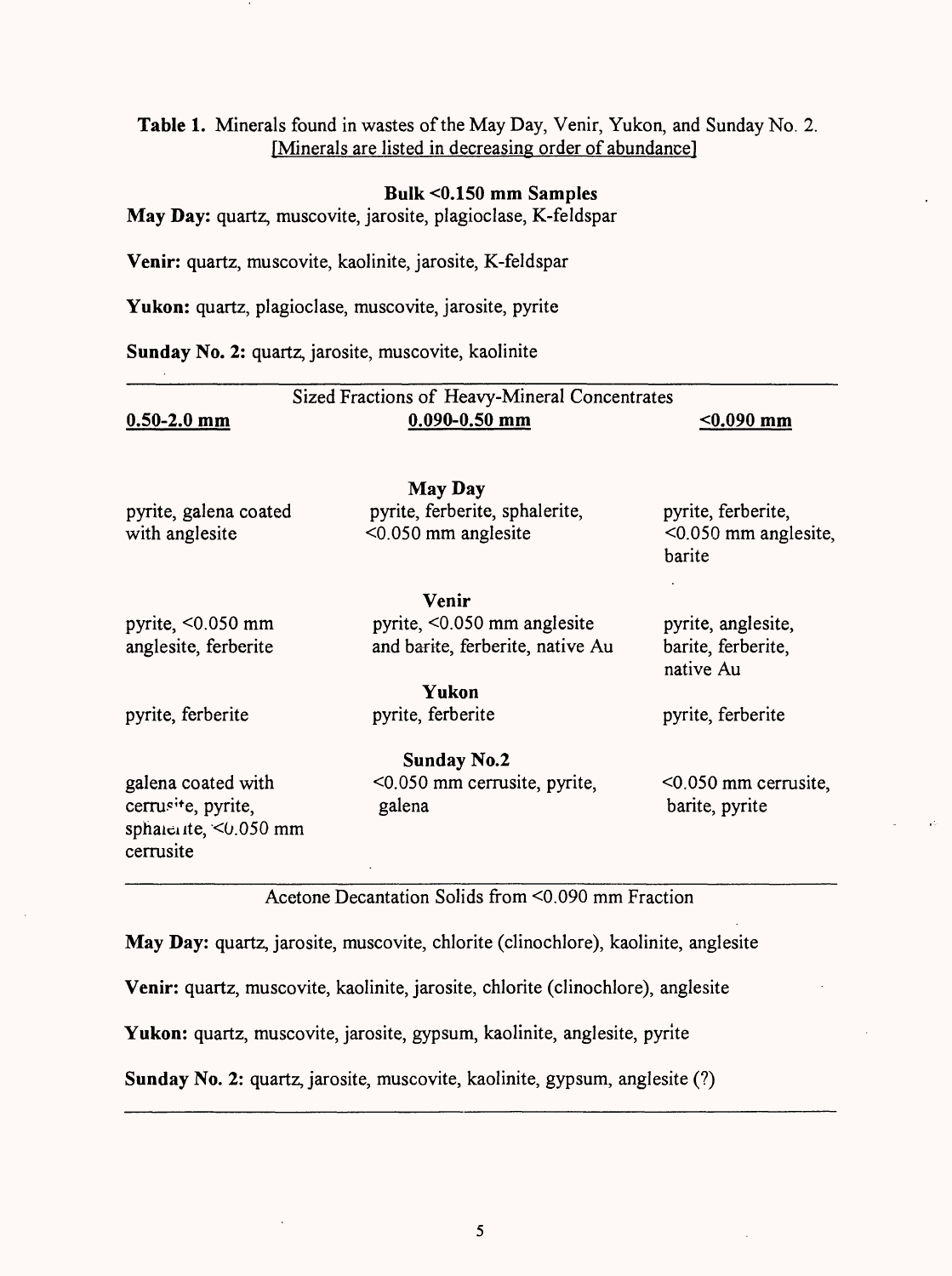## **Table 1.** Minerals found in wastes of the May Day, Venir, Yukon, and Sunday No. 2. [Minerals are listed in decreasing order of abundance]

#### **Bulk <0.150 mm Samples**

**May Day:** quartz, muscovite, jarosite, plagioclase, K-feldspar

**Venir:** quartz, muscovite, kaolinite, jarosite, K-feldspar

Yukon: quartz, plagioclase, muscovite, jarosite, pyrite

**Sunday No.** 2: quartz, jarosite, muscovite, kaolinite

|                                                                                     | Sized Fractions of Heavy-Mineral Concentrates |                                           |
|-------------------------------------------------------------------------------------|-----------------------------------------------|-------------------------------------------|
| $0.50 - 2.0$ mm                                                                     | $0.090 - 0.50$ mm                             | $0.090$ mm                                |
|                                                                                     | <b>May Day</b>                                |                                           |
| pyrite, galena coated                                                               | pyrite, ferberite, sphalerite,                | pyrite, ferberite,                        |
| with anglesite                                                                      | <0.050 mm anglesite                           | $< 0.050$ mm anglesite,<br>barite         |
|                                                                                     | Venir                                         |                                           |
| pyrite, $\leq 0.050$ mm                                                             | pyrite, <0.050 mm anglesite                   | pyrite, anglesite,                        |
| anglesite, ferberite                                                                | and barite, ferberite, native Au              | barite, ferberite,<br>native Au           |
|                                                                                     | Yukon                                         |                                           |
| pyrite, ferberite                                                                   | pyrite, ferberite                             | pyrite, ferberite                         |
|                                                                                     | <b>Sunday No.2</b>                            |                                           |
| galena coated with<br>cerrusite, pyrite,<br>sphalente, $\leq 0.050$ mm<br>cerrusite | <0.050 mm cerrusite, pyrite,<br>galena        | $<$ 0.050 mm cerrusite,<br>barite, pyrite |

Acetone Decantation Solids from <0.090 mm Fraction

**May Day:** quartz, jarosite, muscovite, chlorite (clinochlore), kaolinite, anglesite

**Venir:** quartz, muscovite, kaolinite, jarosite, chlorite (clinochlore), anglesite

Yukon: quartz, muscovite, jarosite, gypsum, kaolinite, anglesite, pyrite

**Sunday** No. 2: quartz, jarosite, muscovite, kaolinite, gypsum, anglesite (?)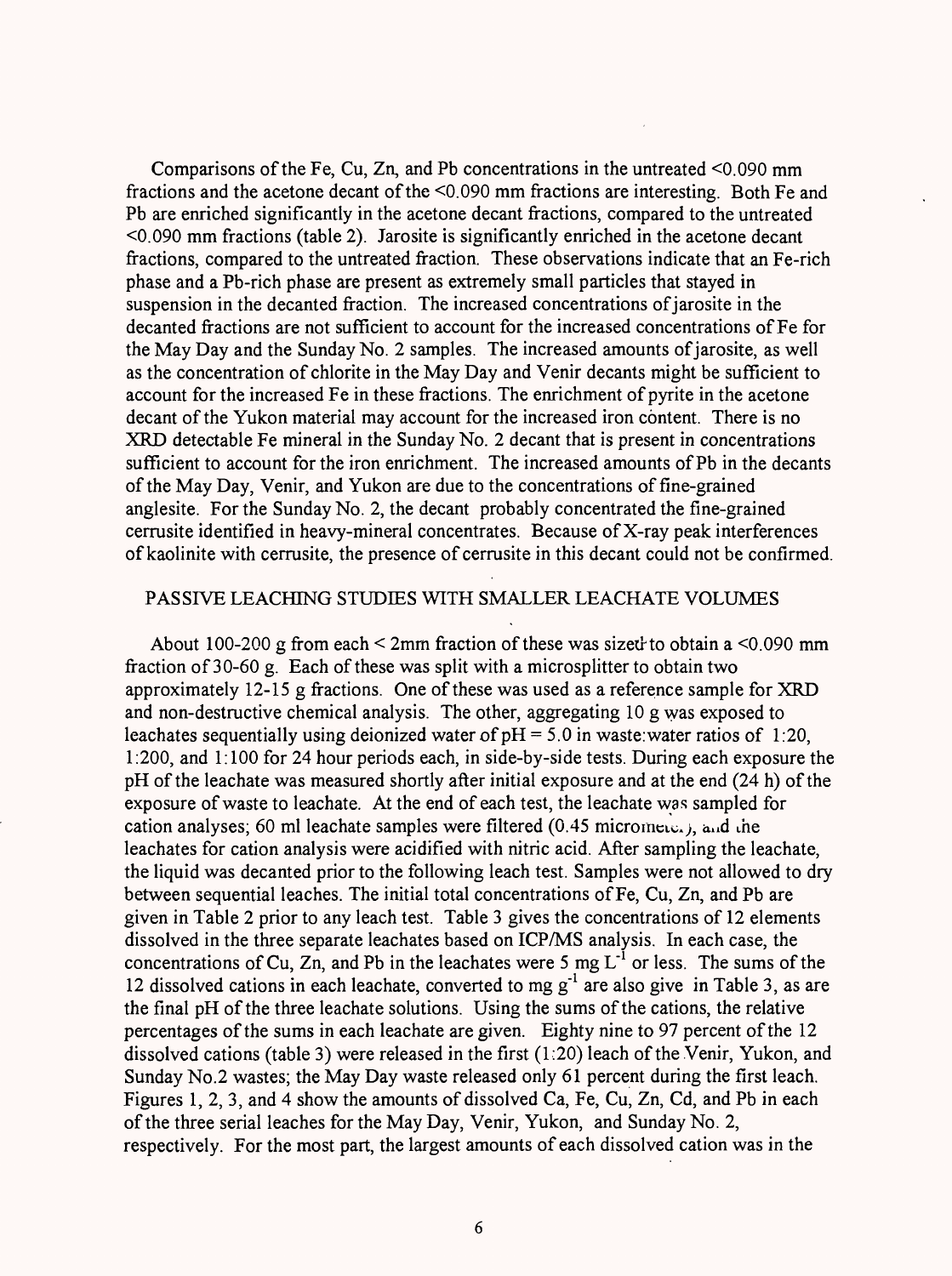Comparisons of the Fe, Cu, Zn, and Pb concentrations in the untreated <0.090 mm fractions and the acetone decant of the <0.090 mm fractions are interesting. Both Fe and Pb are enriched significantly in the acetone decant fractions, compared to the untreated <0.090 mm fractions (table 2). Jarosite is significantly enriched in the acetone decant fractions, compared to the untreated fraction. These observations indicate that an Fe-rich phase and a Pb-rich phase are present as extremely small particles that stayed in suspension in the decanted fraction. The increased concentrations of jarosite in the decanted fractions are not sufficient to account for the increased concentrations of Fe for the May Day and the Sunday No. 2 samples. The increased amounts of jarosite, as well as the concentration of chlorite in the May Day and Venir decants might be sufficient to account for the increased Fe in these fractions. The enrichment of pyrite in the acetone decant of the Yukon material may account for the increased iron content. There is no XRD detectable Fe mineral in the Sunday No. 2 decant that is present in concentrations sufficient to account for the iron enrichment. The increased amounts of Pb in the decants of the May Day, Venir, and Yukon are due to the concentrations of fine-grained anglesite. For the Sunday No. 2, the decant probably concentrated the fine-grained cerrusite identified in heavy-mineral concentrates. Because of X-ray peak interferences of kaolinite with cerrusite, the presence of cerrusite in this decant could not be confirmed.

#### PASSIVE LEACHING STUDIES WITH SMALLER LEACHATE VOLUMES

About 100-200 g from each  $\leq$  2mm fraction of these was sized to obtain a  $\leq$ 0.090 mm fraction of 30-60 g. Each of these was split with a microsplitter to obtain two approximately 12-15 g fractions. One of these was used as a reference sample for XRD and non-destructive chemical analysis. The other, aggregating 10 g was exposed to leachates sequentially using deionized water of  $pH = 5.0$  in waste:water ratios of 1:20, 1:200, and 1:100 for 24 hour periods each, in side-by-side tests. During each exposure the pH of the leachate was measured shortly after initial exposure and at the end (24 h) of the exposure of waste to leachate. At the end of each test, the leachate was sampled for cation analyses; 60 ml leachate samples were filtered  $(0.45 \text{ microme})$ , and the leachates for cation analysis were acidified with nitric acid. After sampling the leachate, the liquid was decanted prior to the following leach test. Samples were not allowed to dry between sequential leaches. The initial total concentrations of Fe, Cu, Zn, and Pb are given in Table 2 prior to any leach test. Table 3 gives the concentrations of 12 elements dissolved in the three separate leachates based on ICP/MS analysis. In each case, the concentrations of Cu, Zn, and Pb in the leachates were 5 mg  $L^{-1}$  or less. The sums of the 12 dissolved cations in each leachate, converted to mg  $g^{-1}$  are also give in Table 3, as are the final pH of the three leachate solutions. Using the sums of the cations, the relative percentages of the sums in each leachate are given. Eighty nine to 97 percent of the 12 dissolved cations (table 3) were released in the first (1:20) leach of the Venir, Yukon, and Sunday No.2 wastes; the May Day waste released only 61 percent during the first leach. Figures 1, 2, 3, and 4 show the amounts of dissolved Ca, Fe, Cu, Zn, Cd, and Pb in each of the three serial leaches for the May Day, Venir, Yukon, and Sunday No. 2, respectively. For the most part, the largest amounts of each dissolved cation was in the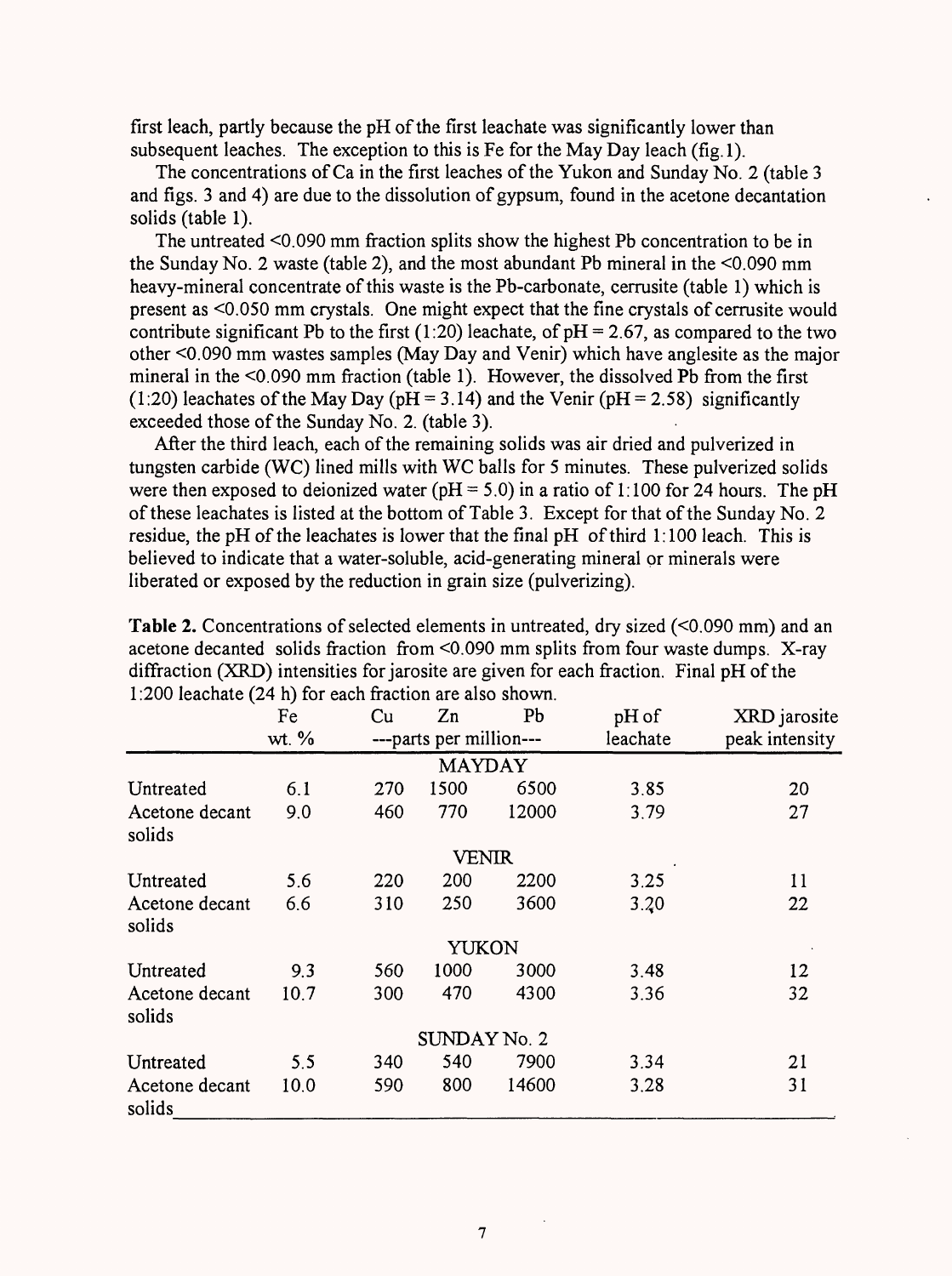first leach, partly because the pH of the first leachate was significantly lower than subsequent leaches. The exception to this is Fe for the May Day leach (fig. 1).

The concentrations of Ca in the first leaches of the Yukon and Sunday No. 2 (table 3 and figs. 3 and 4) are due to the dissolution of gypsum, found in the acetone decantation solids (table 1).

The untreated <0.090 mm fraction splits show the highest Pb concentration to be in the Sunday No. 2 waste (table 2), and the most abundant Pb mineral in the <0.090 mm heavy-mineral concentrate of this waste is the Pb-carbonate, cerrusite (table 1) which is present as <0.050 mm crystals. One might expect that the fine crystals of cerrusite would contribute significant Pb to the first (1:20) leachate, of  $pH = 2.67$ , as compared to the two other <0.090 mm wastes samples (May Day and Venir) which have anglesite as the major mineral in the <0.090 mm fraction (table 1). However, the dissolved Pb from the first (1:20) leachates of the May Day ( $pH = 3.14$ ) and the Venir ( $pH = 2.58$ ) significantly exceeded those of the Sunday No. 2. (table 3).

After the third leach, each of the remaining solids was air dried and pulverized in tungsten carbide (WC) lined mills with WC balls for 5 minutes. These pulverized solids were then exposed to deionized water ( $pH = 5.0$ ) in a ratio of 1:100 for 24 hours. The  $pH$ of these leachates is listed at the bottom of Table 3. Except for that of the Sunday No. 2 residue, the pH of the leachates is lower that the final pH of third 1:100 leach. This is believed to indicate that a water-soluble, acid-generating mineral or minerals were liberated or exposed by the reduction in grain size (pulverizing).

|                          | Fe    | Cu  | Zn                      | P <sub>b</sub> | pH of    | XRD jarosite   |  |
|--------------------------|-------|-----|-------------------------|----------------|----------|----------------|--|
|                          | wt. % |     | ---parts per million--- |                | leachate | peak intensity |  |
|                          |       |     | <b>MAYDAY</b>           |                |          |                |  |
| Untreated                | 6.1   | 270 | 1500                    | 6500           | 3.85     | 20             |  |
| Acetone decant<br>solids | 9.0   | 460 | 770                     | 12000          | 3.79     | 27             |  |
|                          |       |     | VENIR                   |                |          |                |  |
| Untreated                | 5.6   | 220 | 200                     | 2200           | 3.25     | 11             |  |
| Acetone decant<br>solids | 6.6   | 310 | 250                     | 3600           | 3.20     | 22             |  |
|                          |       |     | YUKON                   |                |          |                |  |
| Untreated                | 9.3   | 560 | 1000                    | 3000           | 3.48     | 12             |  |
| Acetone decant<br>solids | 10.7  | 300 | 470                     | 4300           | 3.36     | 32             |  |
|                          |       |     | SUNDAY No. 2            |                |          |                |  |
| Untreated                | 5.5   | 340 | 540                     | 7900           | 3.34     | 21             |  |
| Acetone decant<br>solids | 10.0  | 590 | 800                     | 14600          | 3.28     | 31             |  |

**Table 2.** Concentrations of selected elements in untreated, dry sized  $(\leq 0.090$  mm) and an acetone decanted solids fraction from <0.090 mm splits from four waste dumps. X-ray diffraction (XRD) intensities for jarosite are given for each fraction. Final pH of the 1:200 leachate (24 h) for each fraction are also shown.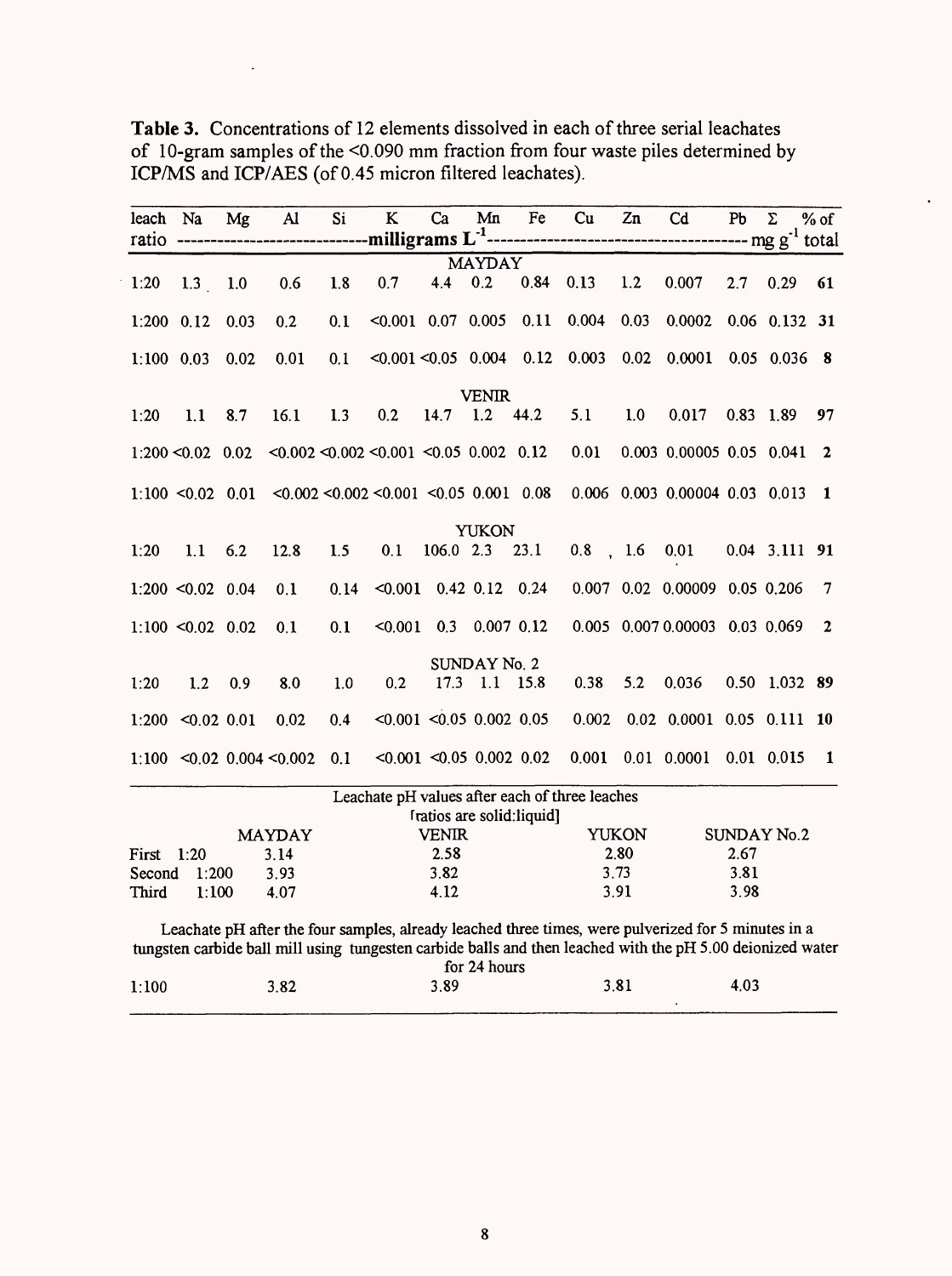| leach Na     |                     | Mg   | $\mathbf{A}$                 | Si   | $\bf K$                                     | Ca                            | Mn            | Fe                         | Cu                                             | Zn           | Cd                                                                                                                                                                                                                | Pb   | $\Sigma$           | $%$ of       |
|--------------|---------------------|------|------------------------------|------|---------------------------------------------|-------------------------------|---------------|----------------------------|------------------------------------------------|--------------|-------------------------------------------------------------------------------------------------------------------------------------------------------------------------------------------------------------------|------|--------------------|--------------|
|              |                     |      |                              |      |                                             |                               | <b>MAYDAY</b> |                            |                                                |              |                                                                                                                                                                                                                   |      |                    |              |
| 1:20         | 1.3                 | 1.0  | 0.6                          | 1.8  | 0.7                                         | 4.4                           | 0.2           | 0.84                       | 0.13                                           | 1.2          | 0.007                                                                                                                                                                                                             | 2.7  | 0.29               | 61           |
| $1:200$ 0.12 |                     | 0.03 | 0.2                          | 0.1  | $< 0.001$ 0.07 0.005                        |                               |               | 0.11                       | 0.004                                          | 0.03         | 0.0002                                                                                                                                                                                                            |      | $0.06$ 0.132       | 31           |
| $1:100$ 0.03 |                     | 0.02 | 0.01                         | 0.1  | $< 0.001 < 0.05$ 0.004 0.12                 |                               |               |                            | 0.003                                          | 0.02         | 0.0001                                                                                                                                                                                                            |      | $0.05$ 0.036       | - 8          |
|              |                     |      |                              |      |                                             |                               | <b>VENIR</b>  |                            |                                                |              |                                                                                                                                                                                                                   |      |                    |              |
| 1:20         | 1.1                 | 8.7  | 16.1                         | 1.3  | 0.2                                         | 14.7                          | 1.2           | 44.2                       | 5.1                                            | 1.0          | 0.017                                                                                                                                                                                                             |      | $0.83$ 1.89        | 97           |
|              | $1:200 < 0.02$ 0.02 |      |                              |      | $< 0.002 < 0.002 < 0.001 < 0.05$ 0.002 0.12 |                               |               |                            | 0.01                                           |              | 0.003 0.00005 0.05 0.041                                                                                                                                                                                          |      |                    | $\mathbf{r}$ |
|              | $1:100$ < 0.02 0.01 |      |                              |      | $< 0.002 < 0.002 < 0.001 < 0.05$ 0.001 0.08 |                               |               |                            |                                                |              | 0.006 0.003 0.00004 0.03 0.013                                                                                                                                                                                    |      |                    | 1            |
|              |                     |      |                              |      |                                             |                               | <b>YUKON</b>  |                            |                                                |              |                                                                                                                                                                                                                   |      |                    |              |
| 1:20         | 1.1                 | 6.2  | 12.8                         | 1.5  | 0.1                                         | $106.0$ 2.3                   |               | 23.1                       | $0.8$ , 1.6                                    |              | 0.01                                                                                                                                                                                                              |      | 0.04 3.111 91      |              |
|              | $1:200$ < 0.02 0.04 |      | 0.1                          | 0.14 |                                             | $< 0.001$ 0.42 0.12 0.24      |               |                            |                                                |              | 0.007 0.02 0.00009 0.05 0.206                                                                                                                                                                                     |      |                    | 7            |
|              | $1:100$ < 0.02 0.02 |      | 0.1                          | 0.1  | < 0.001                                     | 0.3                           |               | $0.007$ $0.12$             |                                                |              | 0.005 0.007 0.00003 0.03 0.069                                                                                                                                                                                    |      |                    | $\mathbf{2}$ |
|              |                     |      |                              |      |                                             |                               | SUNDAY No. 2  |                            |                                                |              |                                                                                                                                                                                                                   |      |                    |              |
| 1:20         | 1.2                 | 0.9  | 8.0                          | 1.0  | 0.2                                         | 17.3                          |               | $1.1$ 15.8                 | 0.38                                           | 5.2          | 0.036                                                                                                                                                                                                             |      | 0.50 1.032 89      |              |
|              | $1:200$ < 0.02 0.01 |      | 0.02                         | 0.4  |                                             | $< 0.001$ $< 0.05$ 0.002 0.05 |               |                            | 0.002                                          |              | $0.02$ $0.0001$ $0.05$ $0.111$ 10                                                                                                                                                                                 |      |                    |              |
|              |                     |      | $1:100$ < 0.02 0.004 < 0.002 | 0.1  |                                             | $< 0.001$ < 0.05 0.002 0.02   |               |                            | 0.001                                          |              | $0.01$ 0.0001                                                                                                                                                                                                     |      | $0.01$ 0.015       | $\mathbf{1}$ |
|              |                     |      |                              |      |                                             |                               |               |                            | Leachate pH values after each of three leaches |              |                                                                                                                                                                                                                   |      |                    |              |
|              |                     |      |                              |      |                                             |                               |               | Iratios are solid: liquid] |                                                |              |                                                                                                                                                                                                                   |      |                    |              |
|              |                     |      | <b>MAYDAY</b>                |      |                                             | <b>VENIR</b>                  |               |                            |                                                | <b>YUKON</b> |                                                                                                                                                                                                                   |      | <b>SUNDAY No.2</b> |              |
| First        | 1:20                |      | 3.14                         |      |                                             | 2.58                          |               |                            |                                                | 2.80         |                                                                                                                                                                                                                   | 2.67 |                    |              |
| Second       | 1:200               |      | 3.93                         |      |                                             | 3.82                          |               |                            |                                                | 3.73         |                                                                                                                                                                                                                   | 3.81 |                    |              |
| Third        | 1:100               |      | 4.07                         |      |                                             | 4.12                          |               |                            |                                                | 3.91         |                                                                                                                                                                                                                   | 3.98 |                    |              |
|              |                     |      |                              |      |                                             |                               | for 24 hours  |                            |                                                |              | Leachate pH after the four samples, already leached three times, were pulverized for 5 minutes in a<br>tungsten carbide ball mill using tungesten carbide balls and then leached with the pH 5.00 deionized water |      |                    |              |
| 1:100        |                     |      | 3.82                         |      |                                             | 3.89                          |               |                            |                                                | 3.81         |                                                                                                                                                                                                                   | 4.03 |                    |              |

**Table 3.** Concentrations of 12 elements dissolved in each of three serial leachates of 10-gram samples of the <0.090 mm fraction from four waste piles determined by ICP/MS and ICP/AES (of 0.45 micron filtered leachates).

 $\ddot{\phantom{a}}$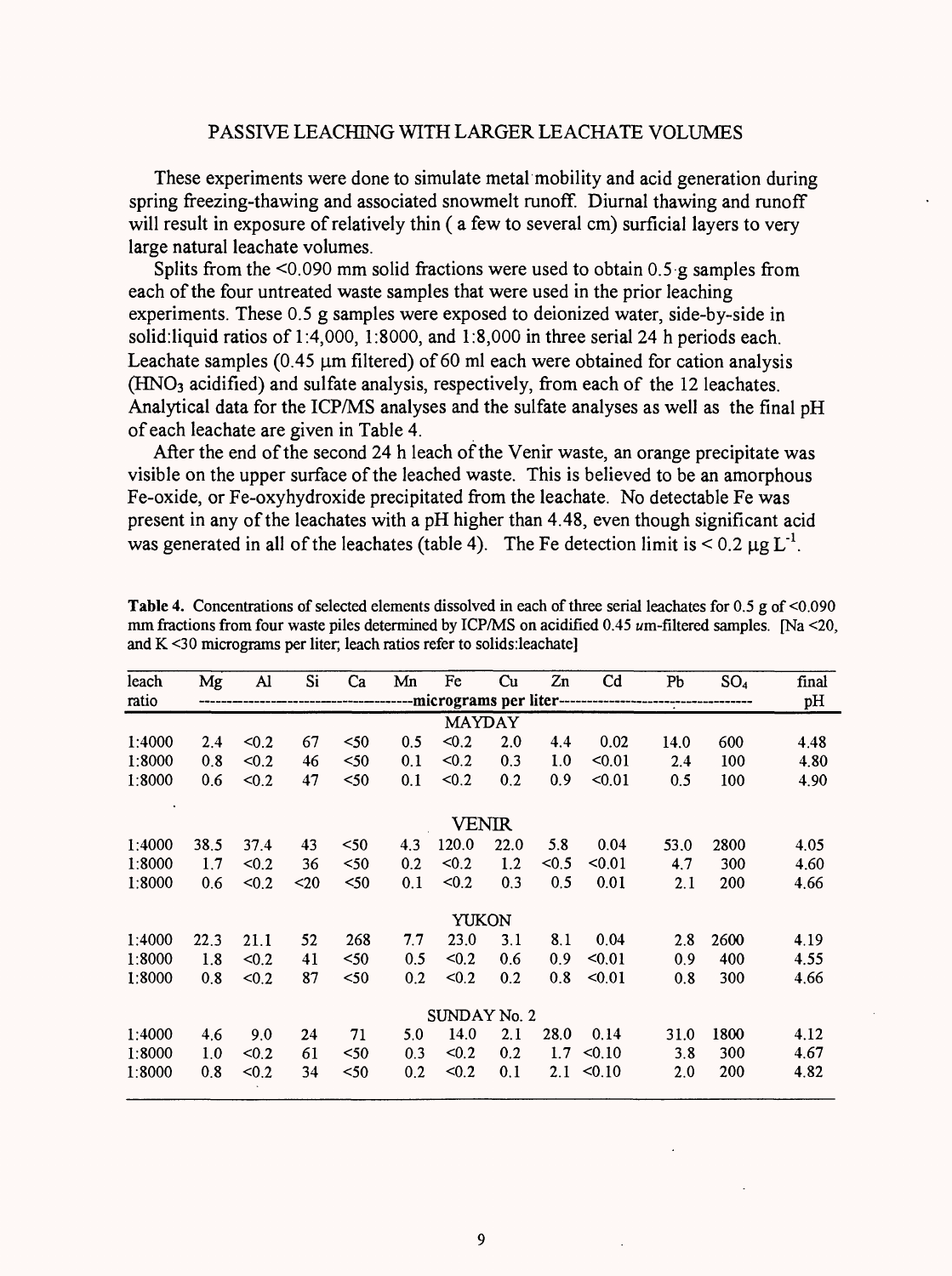#### PASSIVE LEACHING WITH LARGER LEACHATE VOLUMES

These experiments were done to simulate metal mobility and acid generation during spring freezing-thawing and associated snowmelt runoff. Diurnal thawing and runoff will result in exposure of relatively thin ( a few to several cm) surficial layers to very large natural leachate volumes.

Splits from the  $\leq 0.090$  mm solid fractions were used to obtain 0.5 g samples from each of the four untreated waste samples that were used in the prior leaching experiments. These 0.5 g samples were exposed to deionized water, side-by-side in solid:liquid ratios of 1:4,000, 1:8000, and 1:8,000 in three serial 24 h periods each. Leachate samples  $(0.45 \mu m)$  filtered) of 60 ml each were obtained for cation analysis (HNOs acidified) and sulfate analysis, respectively, from each of the 12 leachates. Analytical data for the ICP/MS analyses and the sulfate analyses as well as the final pH of each leachate are given in Table 4.

After the end of the second 24 h leach of the Venir waste, an orange precipitate was visible on the upper surface of the leached waste. This is believed to be an amorphous Fe-oxide, or Fe-oxyhydroxide precipitated from the leachate. No detectable Fe was present in any of the leachates with a pH higher than 4.48, even though significant acid was generated in all of the leachates (table 4). The Fe detection limit is  $\leq 0.2 \mu g L^{-1}$ .

| leach        | Mg            | Al                                     | Si   | Ca   | Mn  | Fe           | Cu   | Zn    | C <sub>d</sub> | Pb   | SO <sub>4</sub> | final |
|--------------|---------------|----------------------------------------|------|------|-----|--------------|------|-------|----------------|------|-----------------|-------|
| ratio        |               | -micrograms per liter----------------- |      |      |     |              |      |       |                |      |                 | pH    |
|              | <b>MAYDAY</b> |                                        |      |      |     |              |      |       |                |      |                 |       |
| 1:4000       | 2.4           | < 0.2                                  | 67   | $50$ | 0.5 | < 0.2        | 2.0  | 4.4   | 0.02           | 14.0 | 600             | 4.48  |
| 1:8000       | 0.8           | < 0.2                                  | 46   | $50$ | 0.1 | < 0.2        | 0.3  | 1.0   | < 0.01         | 2.4  | 100             | 4.80  |
| 1:8000       | 0.6           | < 0.2                                  | 47   | $50$ | 0.1 | < 0.2        | 0.2  | 0.9   | $0.01$         | 0.5  | 100             | 4.90  |
|              |               |                                        |      |      |     | <b>VENIR</b> |      |       |                |      |                 |       |
| 1:4000       | 38.5          | 37.4                                   | 43   | $50$ | 4.3 | 120.0        | 22.0 | 5.8   | 0.04           | 53.0 | 2800            | 4.05  |
| 1:8000       | 1.7           | < 0.2                                  | 36   | $50$ | 0.2 | < 0.2        | 1.2  | < 0.5 | $0.01$         | 4.7  | 300             | 4.60  |
| 1:8000       | 0.6           | < 0.2                                  | $20$ | $50$ | 0.1 | < 0.2        | 0.3  | 0.5   | 0.01           | 2.1  | 200             | 4.66  |
|              |               |                                        |      |      |     | <b>YUKON</b> |      |       |                |      |                 |       |
| 1:4000       | 22.3          | 21.1                                   | 52   | 268  | 7.7 | 23.0         | 3.1  | 8.1   | 0.04           | 2.8  | 2600            | 4.19  |
| 1:8000       | 1.8           | < 0.2                                  | 41   | $50$ | 0.5 | < 0.2        | 0.6  | 0.9   | $0.01$         | 0.9  | 400             | 4.55  |
| 1:8000       | 0.8           | < 0.2                                  | 87   | $50$ | 0.2 | < 0.2        | 0.2  | 0.8   | < 0.01         | 0.8  | 300             | 4.66  |
| SUNDAY No. 2 |               |                                        |      |      |     |              |      |       |                |      |                 |       |
| 1:4000       | 4.6           | 9.0                                    | 24   | 71   | 5.0 | 14.0         | 2.1  | 28.0  | 0.14           | 31.0 | 1800            | 4.12  |
| 1:8000       | 1.0           | < 0.2                                  | 61   | $50$ | 0.3 | < 0.2        | 0.2  | 1.7   | < 0.10         | 3.8  | 300             | 4.67  |
| 1:8000       | 0.8           | < 0.2                                  | 34   | $50$ | 0.2 | < 0.2        | 0.1  | 2.1   | < 0.10         | 2.0  | 200             | 4.82  |

**Table 4.** Concentrations of selected elements dissolved in each of three serial leachates for 0.5 g of <0.090 mm fractions from four waste piles determined by ICP/MS on acidified 0.45  $\mu$ m-filtered samples. [Na <20, and K <30 micrograms per liter, leach ratios refer to solids:leachate]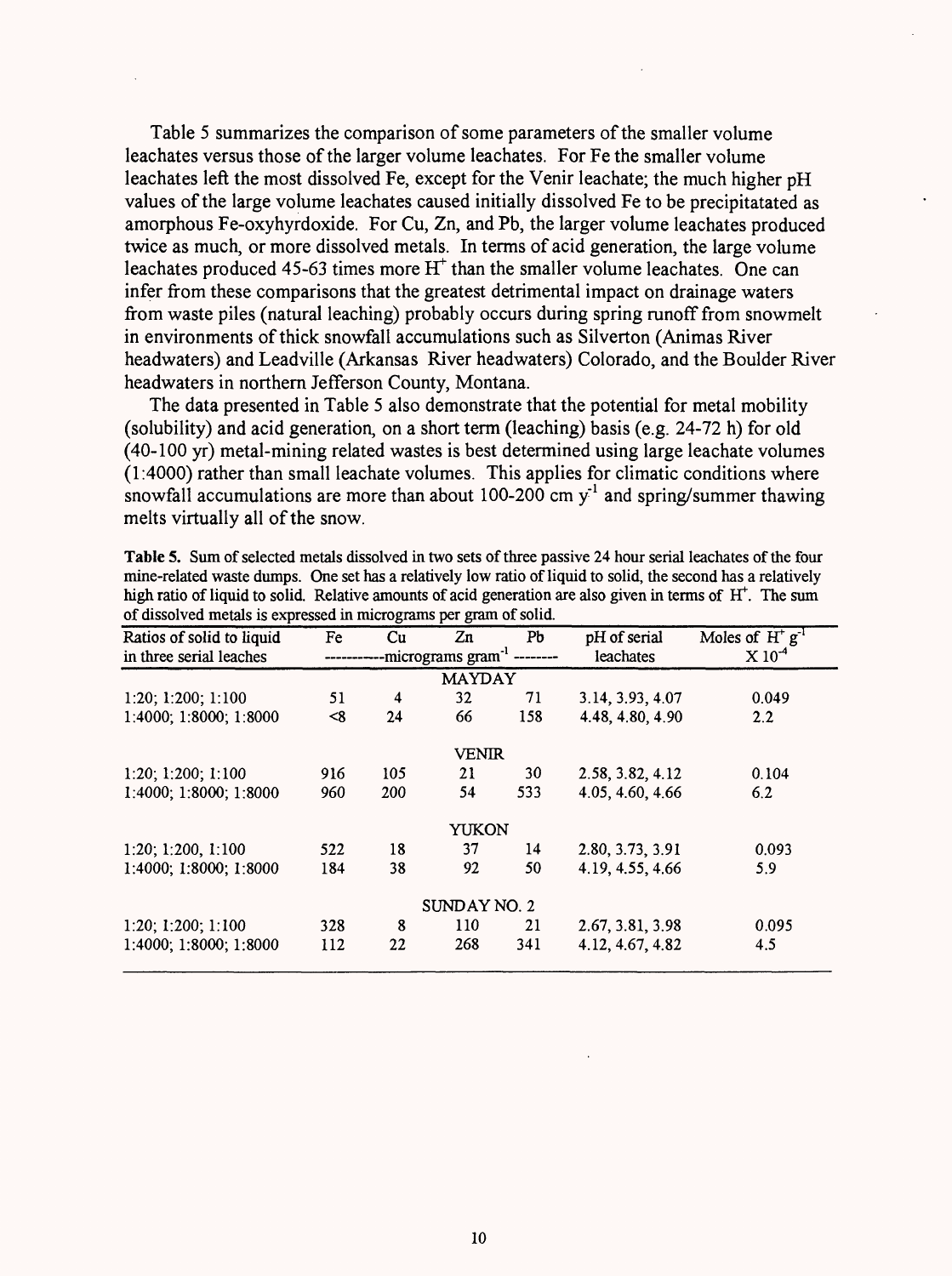Table 5 summarizes the comparison of some parameters of the smaller volume leachates versus those of the larger volume leachates. For Fe the smaller volume leachates left the most dissolved Fe, except for the Venir leachate; the much higher pH values of the large volume leachates caused initially dissolved Fe to be precipitatated as amorphous Fe-oxyhyrdoxide. For Cu, Zn, and Pb, the larger volume leachates produced twice as much, or more dissolved metals. In terms of acid generation, the large volume leachates produced 45-63 times more  $H<sup>+</sup>$  than the smaller volume leachates. One can infer from these comparisons that the greatest detrimental impact on drainage waters from waste piles (natural leaching) probably occurs during spring runoff from snowmelt in environments of thick snowfall accumulations such as Silverton (Animas River headwaters) and Leadville (Arkansas River headwaters) Colorado, and the Boulder River headwaters in northern Jefferson County, Montana.

The data presented in Table 5 also demonstrate that the potential for metal mobility (solubility) and acid generation, on a short term (leaching) basis (e.g. 24-72 h) for old (40-100 yr) metal-mining related wastes is best determined using large leachate volumes (1:4000) rather than small leachate volumes. This applies for climatic conditions where snowfall accumulations are more than about 100-200 cm  $y<sup>-1</sup>$  and spring/summer thawing melts virtually all of the snow.

| nich iauð vi hydig tv sving. Twairið amvand ví aðig generaðum af dísu gríðin in termið ví "11". "The sam<br>of dissolved metals is expressed in micrograms per gram of solid. |          |                         |                                |     |                  |                      |
|-------------------------------------------------------------------------------------------------------------------------------------------------------------------------------|----------|-------------------------|--------------------------------|-----|------------------|----------------------|
| Ratios of solid to liquid                                                                                                                                                     | Fe       | Cu                      | Zn                             | Pb  | pH of serial     | Moles of $H^+g^{-1}$ |
| in three serial leaches                                                                                                                                                       |          |                         | -micrograms gram <sup>-1</sup> |     | <b>leachates</b> | $X 10^{-4}$          |
|                                                                                                                                                                               |          |                         | <b>MAYDAY</b>                  |     |                  |                      |
| 1:20; 1:200; 1:100                                                                                                                                                            | 51       | $\overline{\mathbf{4}}$ | 32                             | 71  | 3.14, 3.93, 4.07 | 0.049                |
| 1:4000; 1:8000; 1:8000                                                                                                                                                        | $<\!\!8$ | 24                      | 66                             | 158 | 4.48, 4.80, 4.90 | 2.2                  |
|                                                                                                                                                                               |          |                         | <b>VENIR</b>                   |     |                  |                      |
| 1:20; 1:200; 1:100                                                                                                                                                            | 916      | 105                     | 21                             | 30  | 2.58, 3.82, 4.12 | 0.104                |
| 1:4000; 1:8000; 1:8000                                                                                                                                                        | 960      | <b>200</b>              | 54                             | 533 | 4.05, 4.60, 4.66 | 6.2                  |
|                                                                                                                                                                               |          |                         | YUKON                          |     |                  |                      |
| 1:20; 1:200, 1:100                                                                                                                                                            | 522      | 18                      | 37                             | 14  | 2.80, 3.73, 3.91 | 0.093                |
| 1:4000; 1:8000; 1:8000                                                                                                                                                        | 184      | 38                      | 92                             | 50  | 4.19, 4.55, 4.66 | 5.9                  |
|                                                                                                                                                                               |          |                         | SUNDAY NO. 2                   |     |                  |                      |
| 1:20; 1:200; 1:100                                                                                                                                                            | 328      | 8                       | 110                            | 21  | 2.67, 3.81, 3.98 | 0.095                |
| 1:4000; 1:8000; 1:8000                                                                                                                                                        | 112      | 22                      | 268                            | 341 | 4.12, 4.67, 4.82 | 4.5                  |

**Table** 5. Sum of selected metals dissolved in two sets of three passive 24 hour serial leachates of the four mine-related waste dumps. One set has a relatively low ratio of liquid to solid, the second has a relatively high ratio of liquid to solid. Relative amounts of acid generation are also given in terms of  $H<sup>+</sup>$ . The sum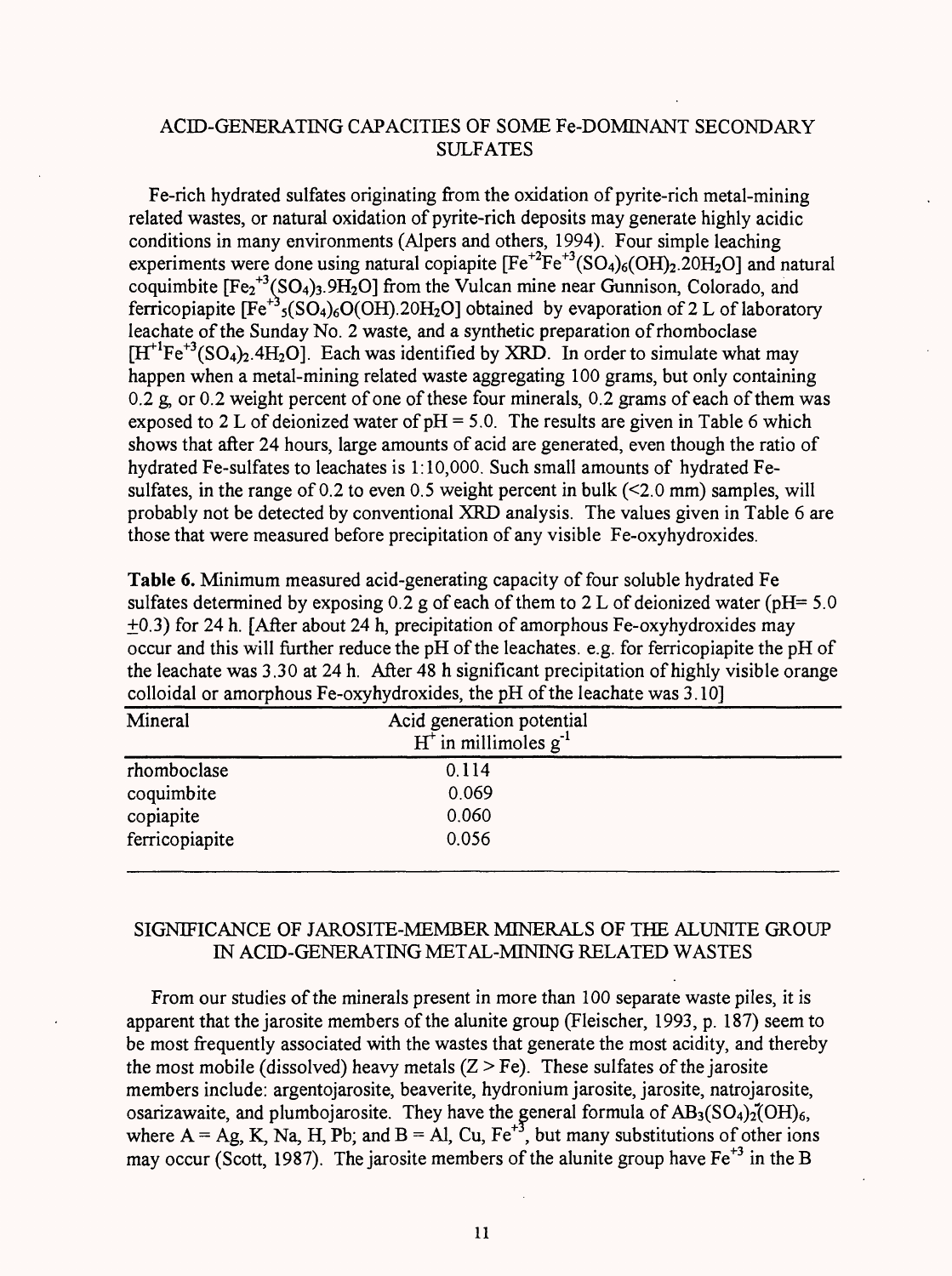## ACID-GENERATING CAPACITIES OF SOME Fe-DOMINANT SECONDARY SULFATES

Fe-rich hydrated sulfates originating from the oxidation of pyrite-rich metal-mining related wastes, or natural oxidation of pyrite-rich deposits may generate highly acidic conditions in many environments (Alpers and others, 1994). Four simple leaching experiments were done using natural copiapite  $[Fe^{+2}Fe^{+3}(SO_4)_6(OH)_2.2OH_2O]$  and natural coquimbite  $[Fe<sub>2</sub><sup>+3</sup>(SO<sub>4</sub>)<sub>3</sub>$ .9H<sub>2</sub>O] from the Vulcan mine near Gunnison, Colorado, and ferricopiapite  $[Fe^{+3}{}_{5} (SO_4)_6 O(OH)$ .20H<sub>2</sub>O] obtained by evaporation of 2 L of laboratory leachate of the Sunday No. 2 waste, and a synthetic preparation of rhomboclase  $[H<sup>+1</sup>Fe<sup>+3</sup>(SO<sub>4</sub>)<sub>2</sub>$ .4H<sub>2</sub>O]. Each was identified by XRD. In order to simulate what may happen when a metal-mining related waste aggregating 100 grams, but only containing 0.2 g, or 0.2 weight percent of one of these four minerals, 0.2 grams of each of them was exposed to 2 L of deionized water of  $pH = 5.0$ . The results are given in Table 6 which shows that after 24 hours, large amounts of acid are generated, even though the ratio of hydrated Fe-sulfates to leachates is 1:10,000. Such small amounts of hydrated Fesulfates, in the range of 0.2 to even 0.5 weight percent in bulk  $(\leq 2.0 \text{ mm})$  samples, will probably not be detected by conventional XRD analysis. The values given in Table 6 are those that were measured before precipitation of any visible Fe-oxyhydroxides.

**Table 6.** Minimum measured acid-generating capacity of four soluble hydrated Fe sulfates determined by exposing  $0.2$  g of each of them to 2 L of deionized water (pH= 5.0) +0.3) for 24 h. [After about 24 h, precipitation of amorphous Fe-oxyhydroxides may occur and this will further reduce the pH of the leachates. e.g. for ferricopiapite the pH of the leachate was 3.30 at 24 h. After 48 h significant precipitation of highly visible orange colloidal or amorphous Fe-oxyhydroxides, the pH of the leachate was 3.10]\_\_\_\_\_\_\_\_

| Mineral        | Acid generation potential<br>$H^{\dagger}$ in millimoles $g^{-1}$ |  |
|----------------|-------------------------------------------------------------------|--|
| rhomboclase    | 0.114                                                             |  |
| coquimbite     | 0.069                                                             |  |
| copiapite      | 0.060                                                             |  |
| ferricopiapite | 0.056                                                             |  |

### SIGNIFICANCE OF JAROSITE-MEMBER MINERALS OF THE ALUNITE GROUP IN ACID-GENERATING METAL-MINING RELATED WASTES

From our studies of the minerals present in more than 100 separate waste piles, it is apparent that the jarosite members of the alunite group (Fleischer, 1993, p. 187) seem to be most frequently associated with the wastes that generate the most acidity, and thereby the most mobile (dissolved) heavy metals  $(Z > Fe)$ . These sulfates of the jarosite members include: argentojarosite, beaverite, hydronium jarosite, jarosite, natrojarosite, osarizawaite, and plumbojarosite. They have the general formula of  $AB_3(SO_4)_2(OH)_6$ , where  $A = Ag$ ,  $K$ ,  $Na$ ,  $H$ ,  $Pb$ ; and  $B = Al$ ,  $Cu$ ,  $Fe^{+3}$ , but many substitutions of other ions may occur (Scott, 1987). The jarosite members of the alunite group have  $Fe^{+3}$  in the B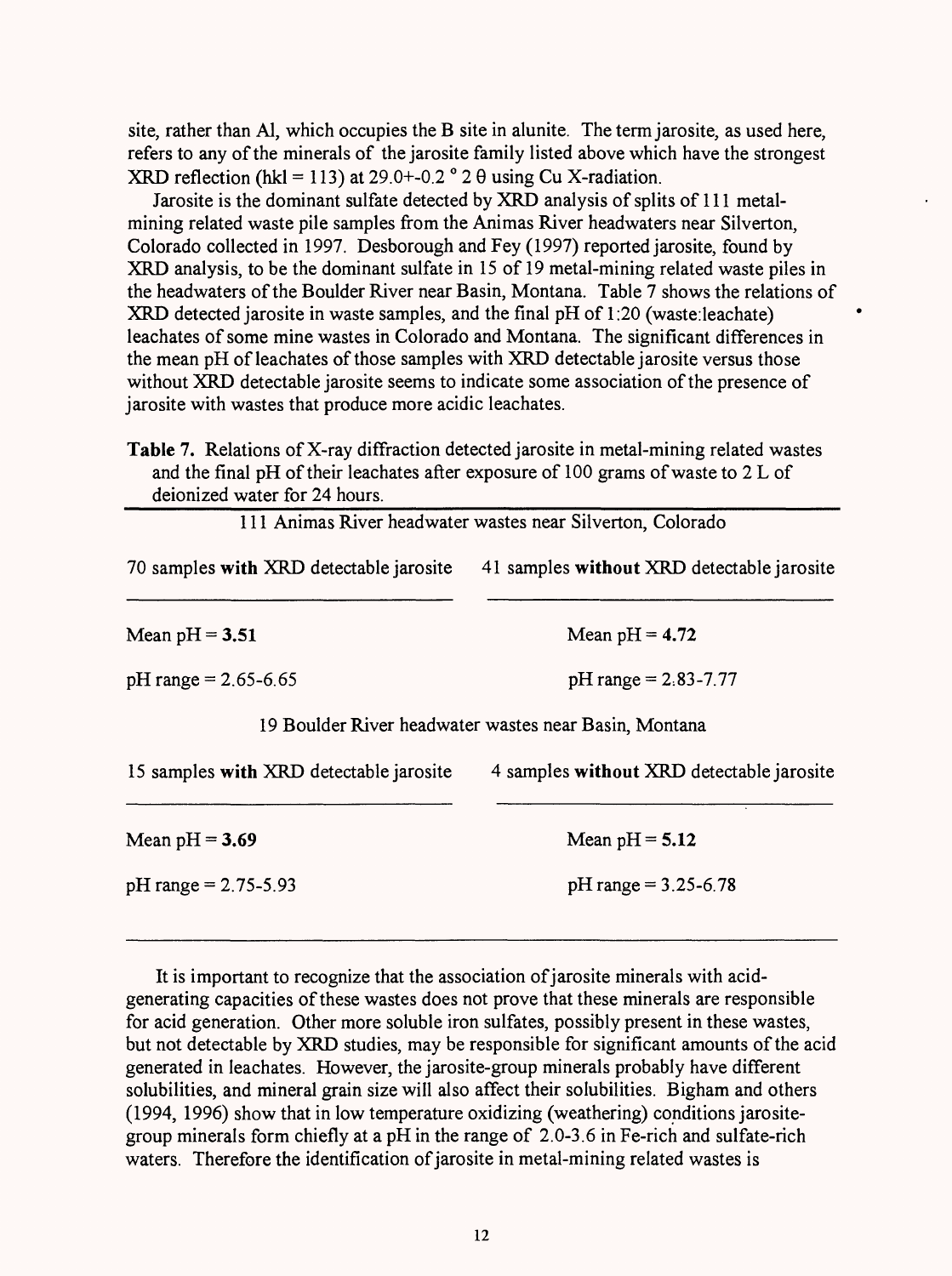site, rather than Al, which occupies the B site in alunite. The term jarosite, as used here, refers to any of the minerals of the jarosite family listed above which have the strongest XRD reflection (hkl = 113) at 29.0+-0.2  $^{\circ}$  2  $\theta$  using Cu X-radiation.

Jarosite is the dominant sulfate detected by XRD analysis of splits of 111 metalmining related waste pile samples from the Animas River headwaters near Silverton, Colorado collected in 1997. Desborough and Fey (1997) reported jarosite, found by XRD analysis, to be the dominant sulfate in 15 of 19 metal-mining related waste piles in the headwaters of the Boulder River near Basin, Montana. Table 7 shows the relations of XRD detected jarosite in waste samples, and the final pH of 1:20 (waste:leachate) leachates of some mine wastes in Colorado and Montana. The significant differences in the mean pH of leachates of those samples with XRD detectable jarosite versus those without XRD detectable jarosite seems to indicate some association of the presence of jarosite with wastes that produce more acidic leachates.

|                                         | 111 Animas River headwater wastes near Silverton, Colorado |
|-----------------------------------------|------------------------------------------------------------|
| 70 samples with XRD detectable jarosite | 41 samples without XRD detectable jarosite                 |
| Mean $pH = 3.51$                        | Mean $pH = 4.72$                                           |
| $pH$ range = 2.65-6.65                  | $pH$ range = 2.83-7.77                                     |
|                                         | 19 Boulder River headwater wastes near Basin, Montana      |
| 15 samples with XRD detectable jarosite | 4 samples without XRD detectable jarosite                  |
| Mean $pH = 3.69$                        | Mean $pH = 5.12$                                           |
| $pH$ range = 2.75-5.93                  | $pH$ range = 3.25-6.78                                     |

It is important to recognize that the association of jarosite minerals with acidgenerating capacities of these wastes does not prove that these minerals are responsible for acid generation. Other more soluble iron sulfates, possibly present in these wastes, but not detectable by XRD studies, may be responsible for significant amounts of the acid generated in leachates. However, the jarosite-group minerals probably have different solubilities, and mineral grain size will also affect their solubilities. Bigham and others (1994, 1996) show that in low temperature oxidizing (weathering) conditions jarositegroup minerals form chiefly at a pH in the range of 2.0-3.6 in Fe-rich and sulfate-rich waters. Therefore the identification of jarosite in metal-mining related wastes is

**Table** 7. Relations of X-ray diffraction detected jarosite in metal-mining related wastes and the final pH of their leachates after exposure of 100 grams of waste to 2 L of deionized water for 24 hours.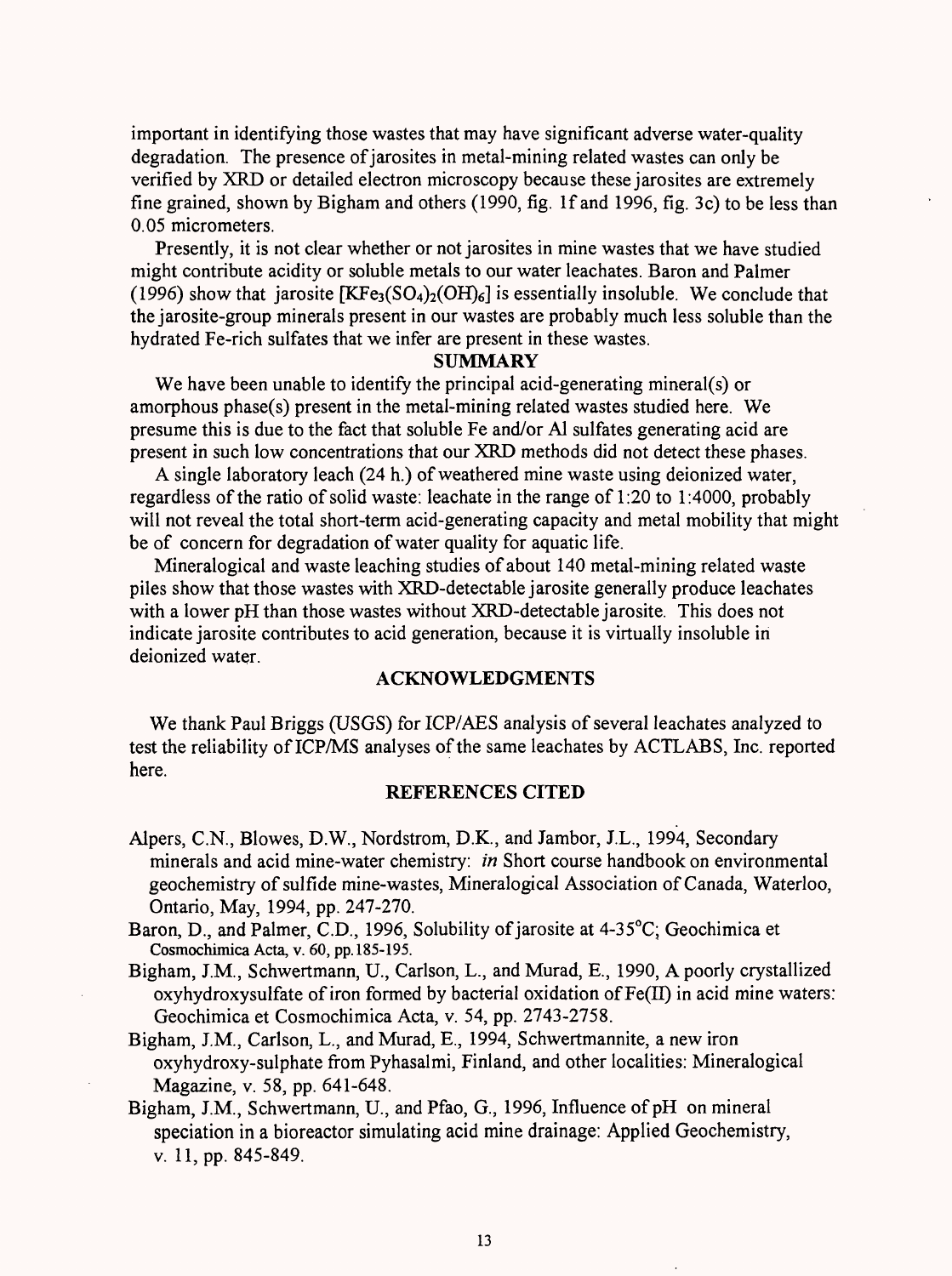important in identifying those wastes that may have significant adverse water-quality degradation. The presence of jarosites in metal-mining related wastes can only be verified by XRD or detailed electron microscopy because these jarosites are extremely fine grained, shown by Bigham and others (1990, fig. If and 1996, fig. 3c) to be less than 0.05 micrometers.

Presently, it is not clear whether or not jarosites in mine wastes that we have studied might contribute acidity or soluble metals to our water leachates. Baron and Palmer (1996) show that jarosite  $[KFe<sub>3</sub>(SO<sub>4</sub>)<sub>2</sub>(OH)<sub>6</sub>]$  is essentially insoluble. We conclude that the jarosite-group minerals present in our wastes are probably much less soluble than the hydrated Fe-rich sulfates that we infer are present in these wastes.

#### **SUMMARY**

We have been unable to identify the principal acid-generating mineral(s) or amorphous phase(s) present in the metal-mining related wastes studied here. We presume this is due to the fact that soluble Fe and/or Al sulfates generating acid are present in such low concentrations that our XRD methods did not detect these phases.

A single laboratory leach (24 h.) of weathered mine waste using deionized water, regardless of the ratio of solid waste: leachate in the range of 1:20 to 1:4000, probably will not reveal the total short-term acid-generating capacity and metal mobility that might be of concern for degradation of water quality for aquatic life.

Mineralogical and waste leaching studies of about 140 metal-mining related waste piles show that those wastes with XRD-detectable jarosite generally produce leachates with a lower pH than those wastes without XRD-detectable jarosite. This does not indicate jarosite contributes to acid generation, because it is virtually insoluble in deionized water.

### **ACKNOWLEDGMENTS**

We thank Paul Briggs (USGS) for ICP/AES analysis of several leachates analyzed to test the reliability of ICP/MS analyses of the same leachates by ACTLABS, Inc. reported here.

#### **REFERENCES CITED**

- Alpers, C.N., Blowes, D.W., Nordstrom, D.K., and Jambor, J.L., 1994, Secondary minerals and acid mine-water chemistry: *in* Short course handbook on environmental geochemistry of sulfide mine-wastes, Mineralogical Association of Canada, Waterloo, Ontario, May, 1994, pp. 247-270.
- Baron, D., and Palmer, C.D., 1996, Solubility of jarosite at 4-35°C; Geochimica et Cosmochimica Acta, v. 60, pp. 185-195.
- Bigham, J.M., Schwertmann, U., Carlson, L., and Murad, E., 1990, A poorly crystallized oxyhydroxysulfate of iron formed by bacterial oxidation of  $Fe(II)$  in acid mine waters: Geochimica et Cosmochimica Acta, v. 54, pp. 2743-2758.

Bigham, J.M., Carlson, L., and Murad, E., 1994, Schwertmannite, a new iron oxyhydroxy-sulphate from Pyhasalmi, Finland, and other localities: Mineralogical Magazine, v. 58, pp. 641-648.

Bigham, J.M., Schwertmann, U., and Pfao, G, 1996, Influence of pH on mineral speciation in a bioreactor simulating acid mine drainage: Applied Geochemistry, v. 11, pp. 845-849.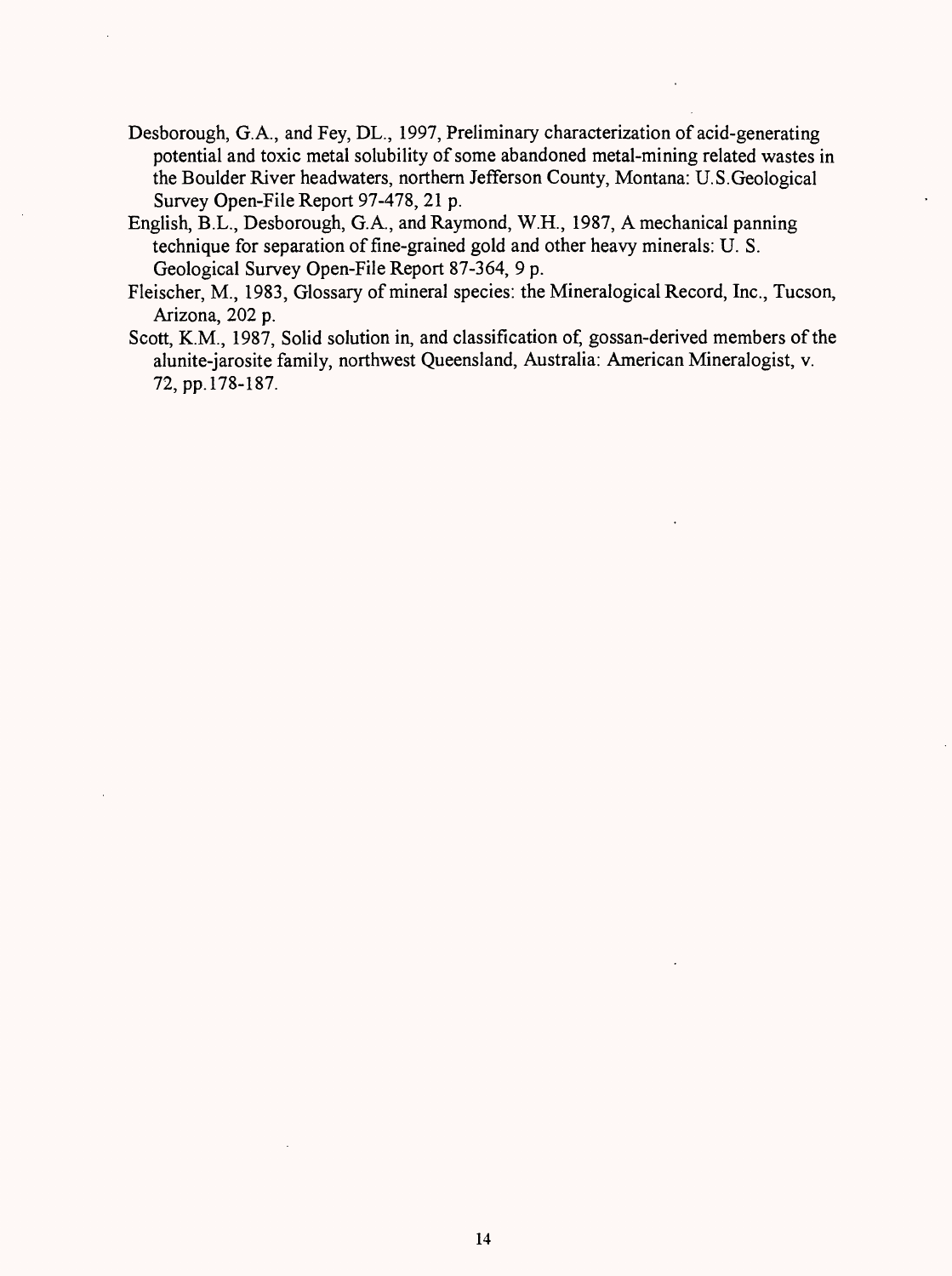- Desborough, G.A., and Fey, DL., 1997, Preliminary characterization of acid-generating potential and toxic metal solubility of some abandoned metal-mining related wastes in the Boulder River headwaters, northern Jefferson County, Montana: U.S.Geological Survey Open-File Report 97-478, 21 p.
- English, B.L., Desborough, G.A., and Raymond, W.H., 1987, A mechanical panning technique for separation of fine-grained gold and other heavy minerals: U. S. Geological Survey Open-File Report 87-364, 9 p.
- Fleischer, M., 1983, Glossary of mineral species: the Mineralogical Record, Inc., Tucson, Arizona, 202 p.
- Scott, K.M., 1987, Solid solution in, and classification of, gossan-derived members of the alunite-jarosite family, northwest Queensland, Australia: American Mineralogist, v. 72,pp.l78-187.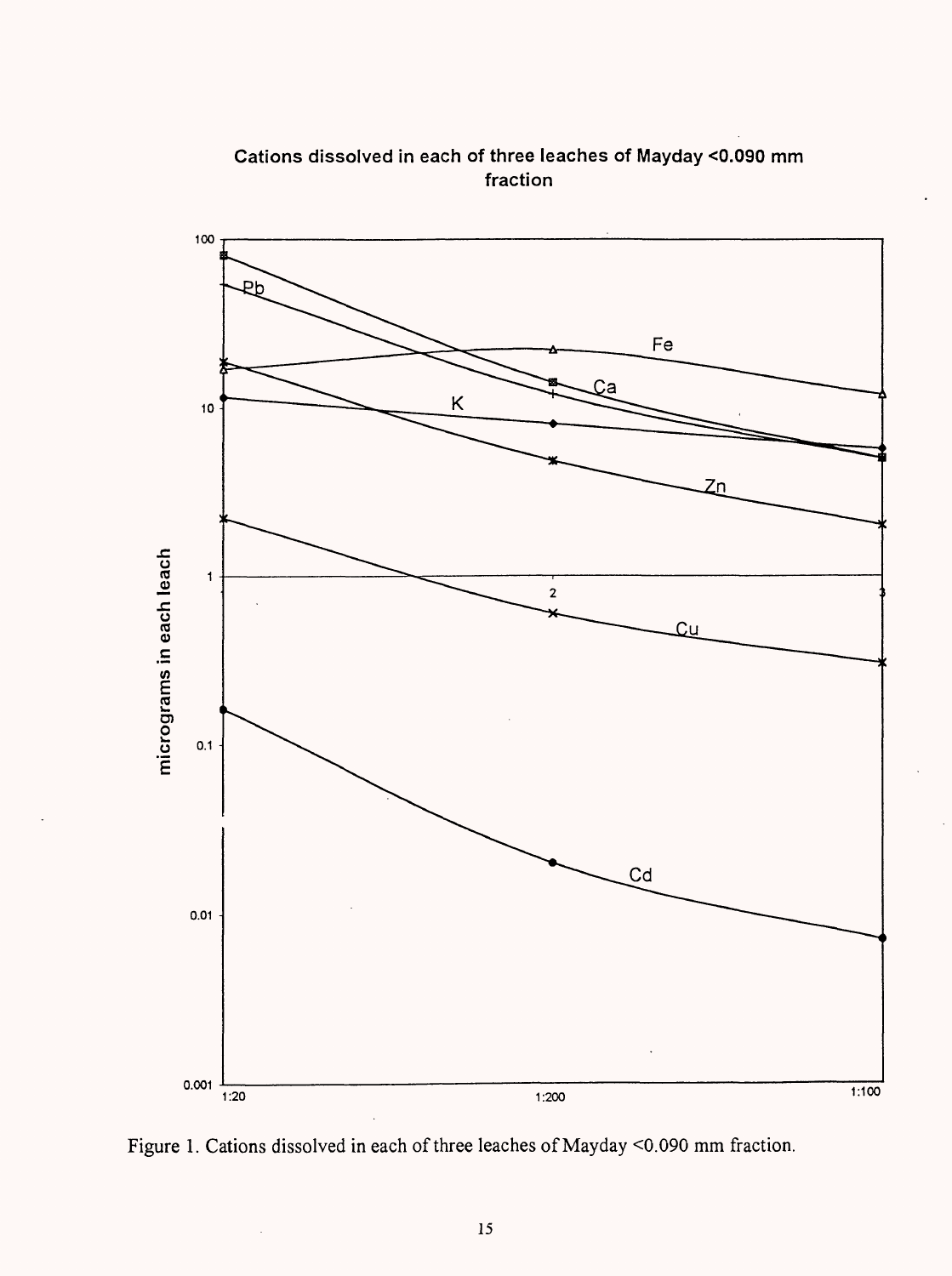

**Cations dissolved in each of three leaches of Mayday <0.090 mm fraction**

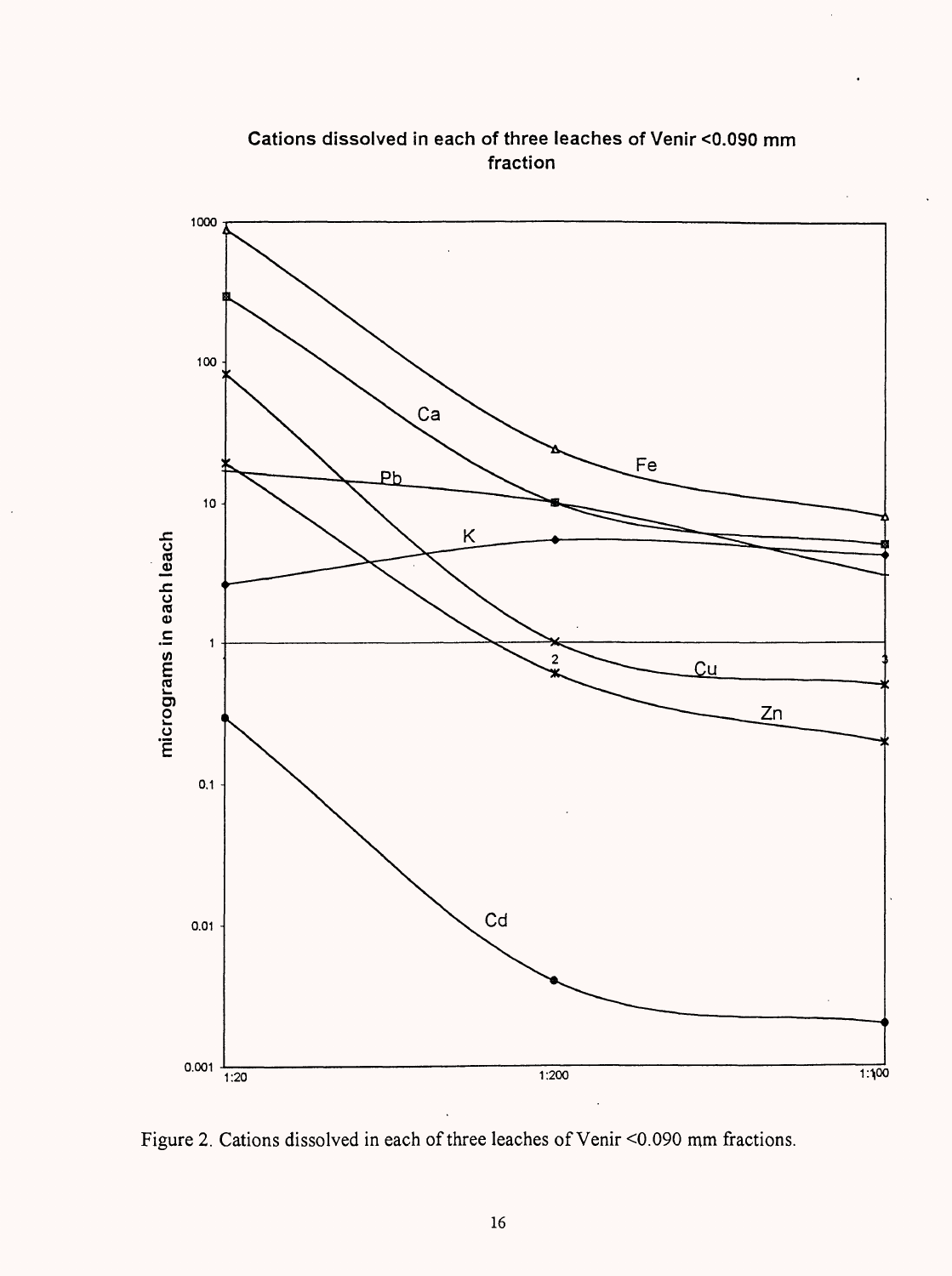

**Cations dissolved in each of three leaches of Venir <0.090 mm fraction**

Figure 2. Cations dissolved in each of three leaches of Venir <0.090 mm fractions.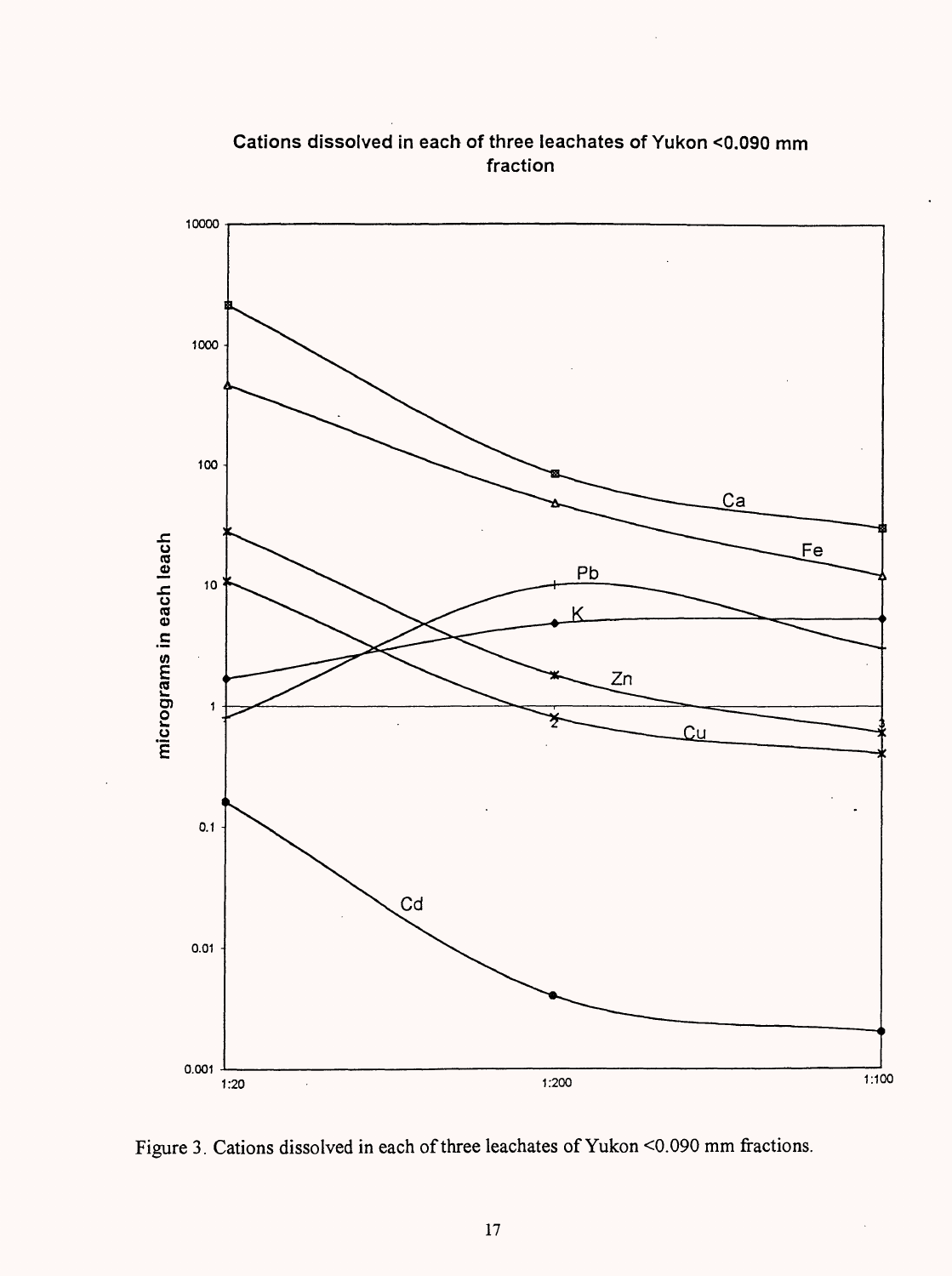

**Cations dissolved in each of three leachates of Yukon <0.090 mm fraction**

Figure 3. Cations dissolved in each of three leachates of Yukon <0.090 mm fractions.